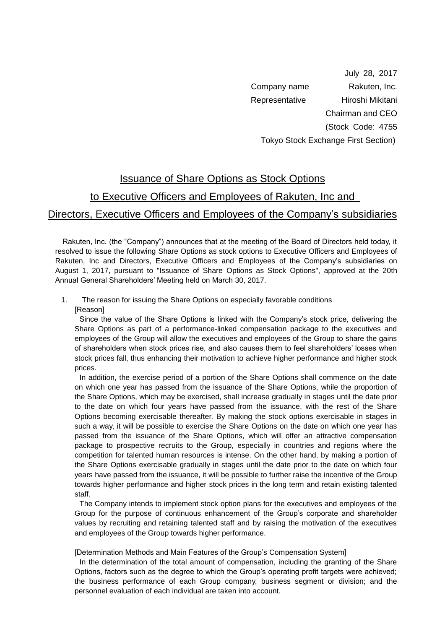July 28, 2017 Company name Rakuten, Inc. Representative Hiroshi Mikitani Chairman and CEO (Stock Code: 4755 Tokyo Stock Exchange First Section)

## Issuance of Share Options as Stock Options

## to Executive Officers and Employees of Rakuten, Inc and

# Directors, Executive Officers and Employees of the Company's subsidiaries

Rakuten, Inc. (the "Company") announces that at the meeting of the Board of Directors held today, it resolved to issue the following Share Options as stock options to Executive Officers and Employees of Rakuten, Inc and Directors, Executive Officers and Employees of the Company's subsidiaries on August 1, 2017, pursuant to "Issuance of Share Options as Stock Options", approved at the 20th Annual General Shareholders' Meeting held on March 30, 2017.

1. The reason for issuing the Share Options on especially favorable conditions [Reason]

Since the value of the Share Options is linked with the Company's stock price, delivering the Share Options as part of a performance-linked compensation package to the executives and employees of the Group will allow the executives and employees of the Group to share the gains of shareholders when stock prices rise, and also causes them to feel shareholders' losses when stock prices fall, thus enhancing their motivation to achieve higher performance and higher stock prices.

In addition, the exercise period of a portion of the Share Options shall commence on the date on which one year has passed from the issuance of the Share Options, while the proportion of the Share Options, which may be exercised, shall increase gradually in stages until the date prior to the date on which four years have passed from the issuance, with the rest of the Share Options becoming exercisable thereafter. By making the stock options exercisable in stages in such a way, it will be possible to exercise the Share Options on the date on which one year has passed from the issuance of the Share Options, which will offer an attractive compensation package to prospective recruits to the Group, especially in countries and regions where the competition for talented human resources is intense. On the other hand, by making a portion of the Share Options exercisable gradually in stages until the date prior to the date on which four years have passed from the issuance, it will be possible to further raise the incentive of the Group towards higher performance and higher stock prices in the long term and retain existing talented staff.

The Company intends to implement stock option plans for the executives and employees of the Group for the purpose of continuous enhancement of the Group's corporate and shareholder values by recruiting and retaining talented staff and by raising the motivation of the executives and employees of the Group towards higher performance.

[Determination Methods and Main Features of the Group's Compensation System]

In the determination of the total amount of compensation, including the granting of the Share Options, factors such as the degree to which the Group's operating profit targets were achieved; the business performance of each Group company, business segment or division; and the personnel evaluation of each individual are taken into account.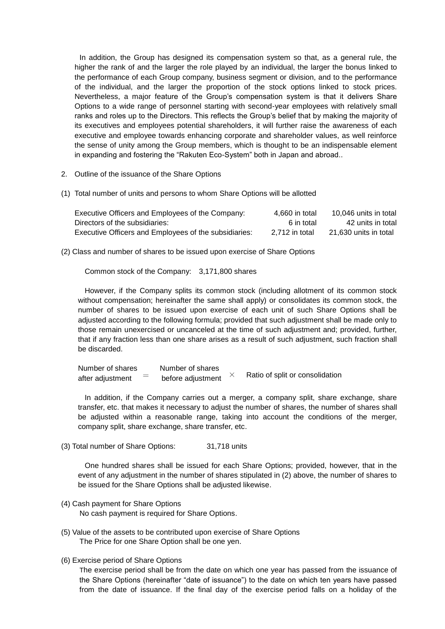In addition, the Group has designed its compensation system so that, as a general rule, the higher the rank of and the larger the role played by an individual, the larger the bonus linked to the performance of each Group company, business segment or division, and to the performance of the individual, and the larger the proportion of the stock options linked to stock prices. Nevertheless, a major feature of the Group's compensation system is that it delivers Share Options to a wide range of personnel starting with second-year employees with relatively small ranks and roles up to the Directors. This reflects the Group's belief that by making the majority of its executives and employees potential shareholders, it will further raise the awareness of each executive and employee towards enhancing corporate and shareholder values, as well reinforce the sense of unity among the Group members, which is thought to be an indispensable element in expanding and fostering the "Rakuten Eco-System" both in Japan and abroad..

- 2. Outline of the issuance of the Share Options
- (1) Total number of units and persons to whom Share Options will be allotted

| Executive Officers and Employees of the Company:      | 4.660 in total | 10.046 units in total |
|-------------------------------------------------------|----------------|-----------------------|
| Directors of the subsidiaries:                        | 6 in total     | 42 units in total     |
| Executive Officers and Employees of the subsidiaries: | 2.712 in total | 21.630 units in total |

(2) Class and number of shares to be issued upon exercise of Share Options

Common stock of the Company: 3,171,800 shares

However, if the Company splits its common stock (including allotment of its common stock without compensation; hereinafter the same shall apply) or consolidates its common stock, the number of shares to be issued upon exercise of each unit of such Share Options shall be adjusted according to the following formula; provided that such adjustment shall be made only to those remain unexercised or uncanceled at the time of such adjustment and; provided, further, that if any fraction less than one share arises as a result of such adjustment, such fraction shall be discarded.

Number of shares Number of shares after adjustment  $\overline{\phantom{a}}$  before adjustment  $\times$  Ratio of split or consolidation

In addition, if the Company carries out a merger, a company split, share exchange, share transfer, etc. that makes it necessary to adjust the number of shares, the number of shares shall be adjusted within a reasonable range, taking into account the conditions of the merger, company split, share exchange, share transfer, etc.

(3) Total number of Share Options: 31,718 units

One hundred shares shall be issued for each Share Options; provided, however, that in the event of any adjustment in the number of shares stipulated in (2) above, the number of shares to be issued for the Share Options shall be adjusted likewise.

- (4) Cash payment for Share Options No cash payment is required for Share Options.
- (5) Value of the assets to be contributed upon exercise of Share Options The Price for one Share Option shall be one yen.
- (6) Exercise period of Share Options

The exercise period shall be from the date on which one year has passed from the issuance of the Share Options (hereinafter "date of issuance") to the date on which ten years have passed from the date of issuance. If the final day of the exercise period falls on a holiday of the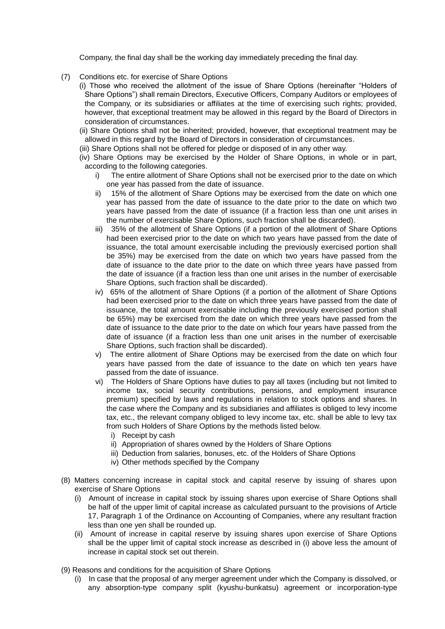Company, the final day shall be the working day immediately preceding the final day.

- (7) Conditions etc. for exercise of Share Options
	- (i) Those who received the allotment of the issue of Share Options (hereinafter "Holders of Share Options") shall remain Directors, Executive Officers, Company Auditors or employees of the Company, or its subsidiaries or affiliates at the time of exercising such rights; provided, however, that exceptional treatment may be allowed in this regard by the Board of Directors in consideration of circumstances.
	- (ii) Share Options shall not be inherited; provided, however, that exceptional treatment may be allowed in this regard by the Board of Directors in consideration of circumstances.
	- (iii) Share Options shall not be offered for pledge or disposed of in any other way.
	- (iv) Share Options may be exercised by the Holder of Share Options, in whole or in part, according to the following categories.
		- i) The entire allotment of Share Options shall not be exercised prior to the date on which one year has passed from the date of issuance.
		- ii) 15% of the allotment of Share Options may be exercised from the date on which one year has passed from the date of issuance to the date prior to the date on which two years have passed from the date of issuance (if a fraction less than one unit arises in the number of exercisable Share Options, such fraction shall be discarded).
		- iii) 35% of the allotment of Share Options (if a portion of the allotment of Share Options had been exercised prior to the date on which two years have passed from the date of issuance, the total amount exercisable including the previously exercised portion shall be 35%) may be exercised from the date on which two years have passed from the date of issuance to the date prior to the date on which three years have passed from the date of issuance (if a fraction less than one unit arises in the number of exercisable Share Options, such fraction shall be discarded).
		- iv) 65% of the allotment of Share Options (if a portion of the allotment of Share Options had been exercised prior to the date on which three years have passed from the date of issuance, the total amount exercisable including the previously exercised portion shall be 65%) may be exercised from the date on which three years have passed from the date of issuance to the date prior to the date on which four years have passed from the date of issuance (if a fraction less than one unit arises in the number of exercisable Share Options, such fraction shall be discarded).
		- v) The entire allotment of Share Options may be exercised from the date on which four years have passed from the date of issuance to the date on which ten years have passed from the date of issuance.
		- vi) The Holders of Share Options have duties to pay all taxes (including but not limited to income tax, social security contributions, pensions, and employment insurance premium) specified by laws and regulations in relation to stock options and shares. In the case where the Company and its subsidiaries and affiliates is obliged to levy income tax, etc., the relevant company obliged to levy income tax, etc. shall be able to levy tax from such Holders of Share Options by the methods listed below.
			- i) Receipt by cash
			- ii) Appropriation of shares owned by the Holders of Share Options
			- iii) Deduction from salaries, bonuses, etc. of the Holders of Share Options
			- iv) Other methods specified by the Company
- (8) Matters concerning increase in capital stock and capital reserve by issuing of shares upon exercise of Share Options
	- (i) Amount of increase in capital stock by issuing shares upon exercise of Share Options shall be half of the upper limit of capital increase as calculated pursuant to the provisions of Article 17, Paragraph 1 of the Ordinance on Accounting of Companies, where any resultant fraction less than one yen shall be rounded up.
	- (ii) Amount of increase in capital reserve by issuing shares upon exercise of Share Options shall be the upper limit of capital stock increase as described in (i) above less the amount of increase in capital stock set out therein.
- (9) Reasons and conditions for the acquisition of Share Options
	- (i) In case that the proposal of any merger agreement under which the Company is dissolved, or any absorption-type company split (kyushu-bunkatsu) agreement or incorporation-type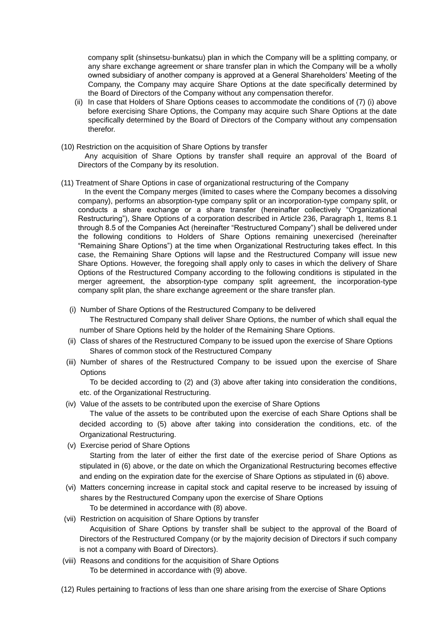company split (shinsetsu-bunkatsu) plan in which the Company will be a splitting company, or any share exchange agreement or share transfer plan in which the Company will be a wholly owned subsidiary of another company is approved at a General Shareholders' Meeting of the Company, the Company may acquire Share Options at the date specifically determined by the Board of Directors of the Company without any compensation therefor.

- (ii) In case that Holders of Share Options ceases to accommodate the conditions of (7) (i) above before exercising Share Options, the Company may acquire such Share Options at the date specifically determined by the Board of Directors of the Company without any compensation therefor.
- (10) Restriction on the acquisition of Share Options by transfer Any acquisition of Share Options by transfer shall require an approval of the Board of Directors of the Company by its resolution.

### (11) Treatment of Share Options in case of organizational restructuring of the Company

In the event the Company merges (limited to cases where the Company becomes a dissolving company), performs an absorption-type company split or an incorporation-type company split, or conducts a share exchange or a share transfer (hereinafter collectively "Organizational Restructuring"), Share Options of a corporation described in Article 236, Paragraph 1, Items 8.1 through 8.5 of the Companies Act (hereinafter "Restructured Company") shall be delivered under the following conditions to Holders of Share Options remaining unexercised (hereinafter "Remaining Share Options") at the time when Organizational Restructuring takes effect. In this case, the Remaining Share Options will lapse and the Restructured Company will issue new Share Options. However, the foregoing shall apply only to cases in which the delivery of Share Options of the Restructured Company according to the following conditions is stipulated in the merger agreement, the absorption-type company split agreement, the incorporation-type company split plan, the share exchange agreement or the share transfer plan.

#### (i) Number of Share Options of the Restructured Company to be delivered

The Restructured Company shall deliver Share Options, the number of which shall equal the number of Share Options held by the holder of the Remaining Share Options.

- (ii) Class of shares of the Restructured Company to be issued upon the exercise of Share Options Shares of common stock of the Restructured Company
- (iii) Number of shares of the Restructured Company to be issued upon the exercise of Share **Options**

To be decided according to (2) and (3) above after taking into consideration the conditions, etc. of the Organizational Restructuring.

(iv) Value of the assets to be contributed upon the exercise of Share Options

The value of the assets to be contributed upon the exercise of each Share Options shall be decided according to (5) above after taking into consideration the conditions, etc. of the Organizational Restructuring.

(v) Exercise period of Share Options

Starting from the later of either the first date of the exercise period of Share Options as stipulated in (6) above, or the date on which the Organizational Restructuring becomes effective and ending on the expiration date for the exercise of Share Options as stipulated in (6) above.

(vi) Matters concerning increase in capital stock and capital reserve to be increased by issuing of shares by the Restructured Company upon the exercise of Share Options To be determined in accordance with (8) above.

(vii) Restriction on acquisition of Share Options by transfer Acquisition of Share Options by transfer shall be subject to the approval of the Board of Directors of the Restructured Company (or by the majority decision of Directors if such company is not a company with Board of Directors).

- (viii) Reasons and conditions for the acquisition of Share Options To be determined in accordance with (9) above.
- (12) Rules pertaining to fractions of less than one share arising from the exercise of Share Options